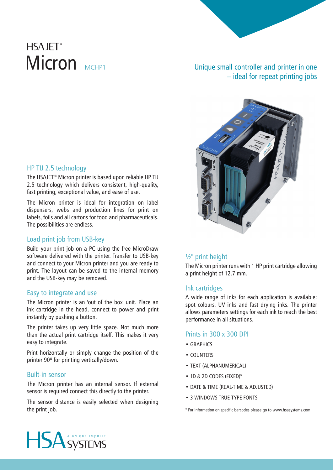# **HSA IFT®** Micron MCHP1

## Unique small controller and printer in one – ideal for repeat printing jobs



### HP TIJ 2.5 technology

The HSAJET® Micron printer is based upon reliable HP TIJ 2.5 technology which delivers consistent, high-quality, fast printing, exceptional value, and ease of use.

The Micron printer is ideal for integration on label dispensers, webs and production lines for print on labels, foils and all cartons for food and pharmaceuticals. The possibilities are endless.

### Load print job from USB-key

Build your print job on a PC using the free MicroDraw software delivered with the printer. Transfer to USB-key and connect to your Micron printer and you are ready to print. The layout can be saved to the internal memory and the USB-key may be removed.

### Easy to integrate and use

The Micron printer is an 'out of the box' unit. Place an ink cartridge in the head, connect to power and print instantly by pushing a button.

The printer takes up very little space. Not much more than the actual print cartridge itself. This makes it very easy to integrate.

Print horizontally or simply change the position of the printer 90º for printing vertically/down.

### Built-in sensor

The Micron printer has an internal sensor. If external sensor is required connect this directly to the printer.

The sensor distance is easily selected when designing the print job.

### ½'' print height

The Micron printer runs with 1 HP print cartridge allowing a print height of 12.7 mm.

### Ink cartridges

A wide range of inks for each application is available: spot colours, UV inks and fast drying inks. The printer allows parameters settings for each ink to reach the best performance in all situations.

### Prints in 300 x 300 DPI

- GRAPHICS
- COUNTERS
- TEXT (ALPHANUMERICAL)
- 1D & 2D CODES (FIXED)\*
- DATE & TIME (REAL-TIME & ADJUSTED)
- 3 WINDOWS TRUE TYPE FONTS
- \* For information on specific barcodes please go to www.hsasystems.com

HSA SYSTEMS